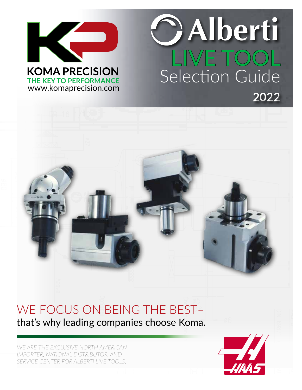

www.komaprecision.com

## **LIVE TOOL** Selection Guide **2022 Alberti**



## WE FOCUS ON BEING THE BEST–

that's why leading companies choose Koma.

*WE ARE THE EXCLUSIVE NORTH AMERICAN IMPORTER, NATIONAL DISTRIBUTOR, AND SERVICE CENTER FOR ALBERTI LIVE TOOLS.*

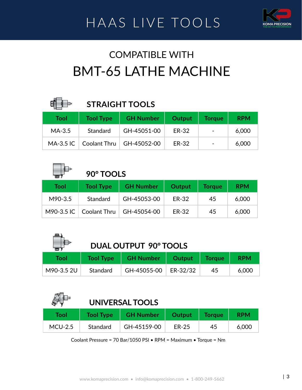

### HAAS LIVE TOOLS **KOMA PRECISION**

#### COMPATIBLE WITH BMT-65 LATHE MACHINE

| EÞ               | <b>STRAIGHT TOOLS</b> |                  |        |               |            |
|------------------|-----------------------|------------------|--------|---------------|------------|
| Tool             | <b>Tool Type</b>      | <b>GH Number</b> | Output | <b>Torque</b> | <b>RPM</b> |
| $MA-3.5$         | Standard              | GH-45051-00      | ER-32  |               | 6,000      |
| <b>MA-3.5 IC</b> | Coolant Thru          | GH-45052-00      | ER-32  |               | 6,000      |

|               | 90° TOOLS        |                  |              |               |            |
|---------------|------------------|------------------|--------------|---------------|------------|
| <b>Tool</b>   | <b>Tool Type</b> | <b>GH Number</b> | Output       | <b>Torque</b> | <b>RPM</b> |
| M90-3.5       | Standard         | GH-45053-00      | <b>ER-32</b> | 45            | 6,000      |
| $M90-3.5$ IC. | Coolant Thru     | GH-45054-00      | ER-32        | 45            | 6,000      |

| m .         | DUAL OUTPUT 90° TOOLS |                  |          |               |            |  |
|-------------|-----------------------|------------------|----------|---------------|------------|--|
| <b>Tool</b> | <b>Tool Type</b>      | <b>GH Number</b> | Output   | <b>Torque</b> | <b>RPM</b> |  |
| M90-3.5 2U  | Standard              | GH-45055-00      | ER-32/32 | 45            | 6,000      |  |

|           | UNIVERSAL TOOLS  |                  |              |               |            |
|-----------|------------------|------------------|--------------|---------------|------------|
| Tool      | <b>Tool Type</b> | <b>GH Number</b> | Output       | <b>Torque</b> | <b>RPM</b> |
| $MCU-2.5$ | Standard         | GH-45159-00      | <b>ER-25</b> | 45            | 6,000      |

Coolant Pressure = 70 Bar/1050 PSI • RPM = Maximum • Torque = Nm